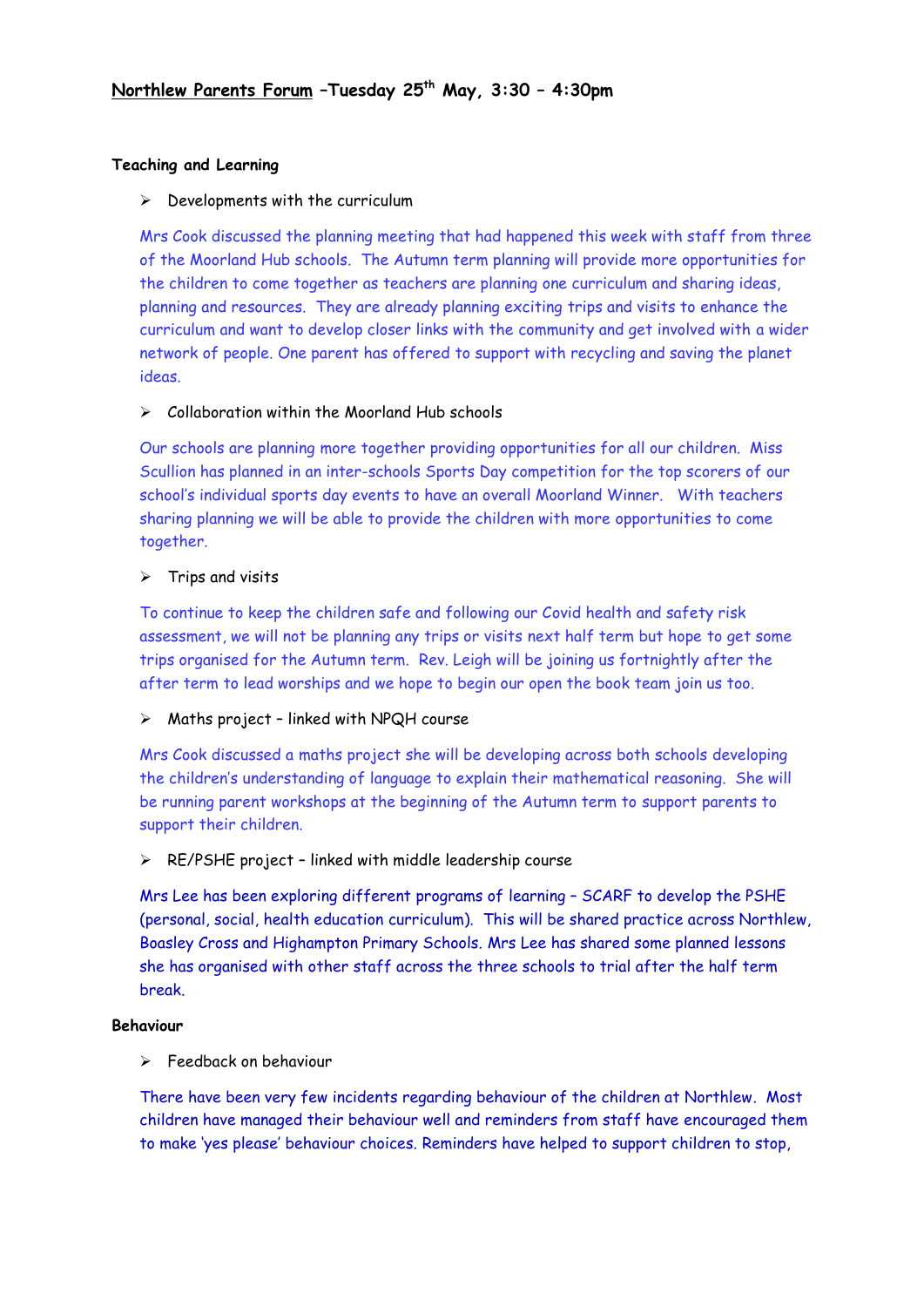## **Teaching and Learning**

### $\triangleright$  Developments with the curriculum

Mrs Cook discussed the planning meeting that had happened this week with staff from three of the Moorland Hub schools. The Autumn term planning will provide more opportunities for the children to come together as teachers are planning one curriculum and sharing ideas, planning and resources. They are already planning exciting trips and visits to enhance the curriculum and want to develop closer links with the community and get involved with a wider network of people. One parent has offered to support with recycling and saving the planet ideas.

## $\triangleright$  Collaboration within the Moorland Hub schools

Our schools are planning more together providing opportunities for all our children. Miss Scullion has planned in an inter-schools Sports Day competition for the top scorers of our school's individual sports day events to have an overall Moorland Winner. With teachers sharing planning we will be able to provide the children with more opportunities to come together.

## ➢ Trips and visits

To continue to keep the children safe and following our Covid health and safety risk assessment, we will not be planning any trips or visits next half term but hope to get some trips organised for the Autumn term. Rev. Leigh will be joining us fortnightly after the after term to lead worships and we hope to begin our open the book team join us too.

# ➢ Maths project – linked with NPQH course

Mrs Cook discussed a maths project she will be developing across both schools developing the children's understanding of language to explain their mathematical reasoning. She will be running parent workshops at the beginning of the Autumn term to support parents to support their children.

#### ➢ RE/PSHE project – linked with middle leadership course

Mrs Lee has been exploring different programs of learning – SCARF to develop the PSHE (personal, social, health education curriculum). This will be shared practice across Northlew, Boasley Cross and Highampton Primary Schools. Mrs Lee has shared some planned lessons she has organised with other staff across the three schools to trial after the half term break.

#### **Behaviour**

➢ Feedback on behaviour

There have been very few incidents regarding behaviour of the children at Northlew. Most children have managed their behaviour well and reminders from staff have encouraged them to make 'yes please' behaviour choices. Reminders have helped to support children to stop,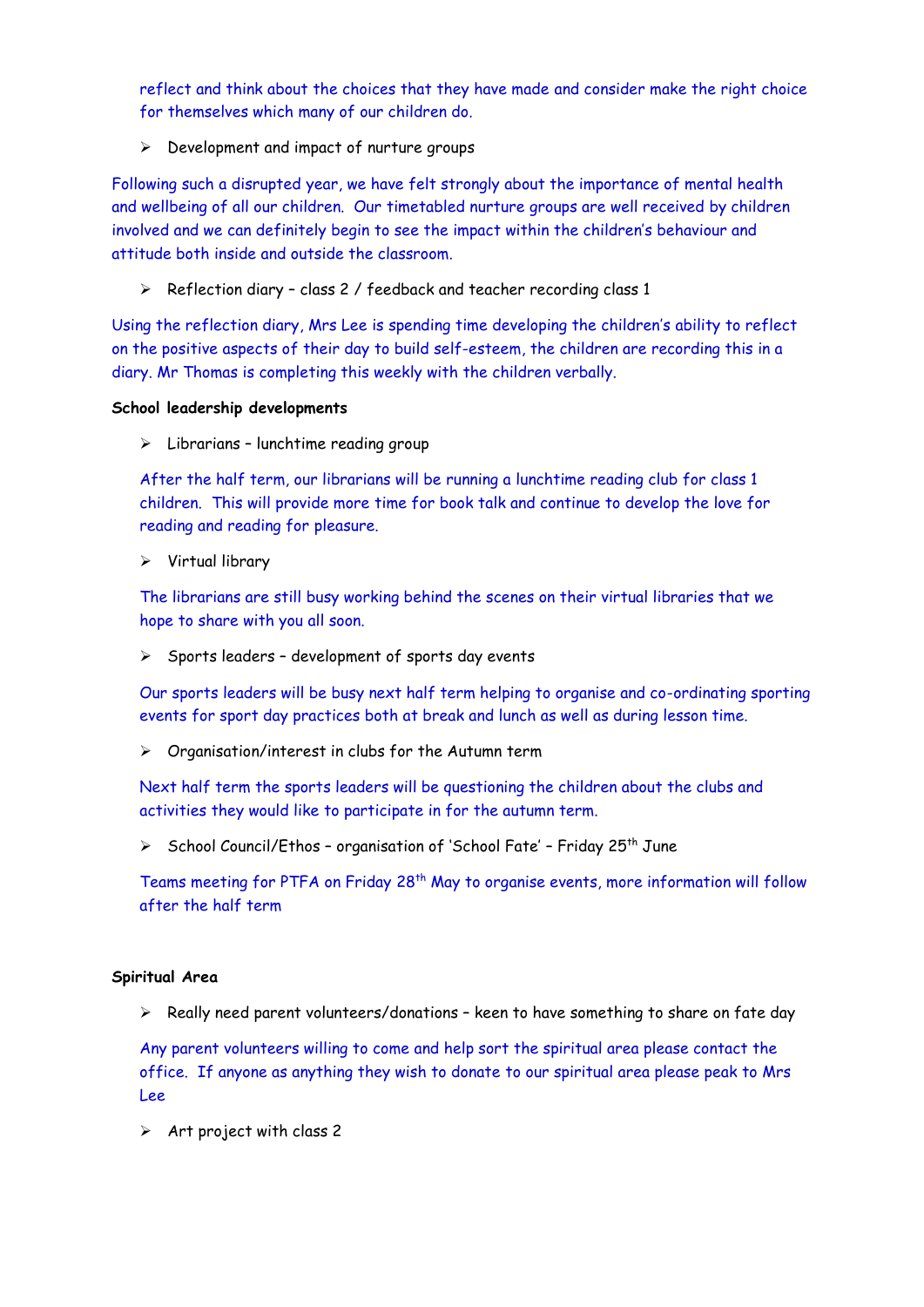reflect and think about the choices that they have made and consider make the right choice for themselves which many of our children do.

➢ Development and impact of nurture groups

Following such a disrupted year, we have felt strongly about the importance of mental health and wellbeing of all our children. Our timetabled nurture groups are well received by children involved and we can definitely begin to see the impact within the children's behaviour and attitude both inside and outside the classroom.

➢ Reflection diary – class 2 / feedback and teacher recording class 1

Using the reflection diary, Mrs Lee is spending time developing the children's ability to reflect on the positive aspects of their day to build self-esteem, the children are recording this in a diary. Mr Thomas is completing this weekly with the children verbally.

#### **School leadership developments**

➢ Librarians – lunchtime reading group

After the half term, our librarians will be running a lunchtime reading club for class 1 children. This will provide more time for book talk and continue to develop the love for reading and reading for pleasure.

➢ Virtual library

The librarians are still busy working behind the scenes on their virtual libraries that we hope to share with you all soon.

➢ Sports leaders – development of sports day events

Our sports leaders will be busy next half term helping to organise and co-ordinating sporting events for sport day practices both at break and lunch as well as during lesson time.

➢ Organisation/interest in clubs for the Autumn term

Next half term the sports leaders will be questioning the children about the clubs and activities they would like to participate in for the autumn term.

➢ School Council/Ethos – organisation of 'School Fate' – Friday 25th June

Teams meeting for PTFA on Friday 28<sup>th</sup> May to organise events, more information will follow after the half term

#### **Spiritual Area**

➢ Really need parent volunteers/donations – keen to have something to share on fate day

Any parent volunteers willing to come and help sort the spiritual area please contact the office. If anyone as anything they wish to donate to our spiritual area please peak to Mrs Lee

 $\triangleright$  Art project with class 2